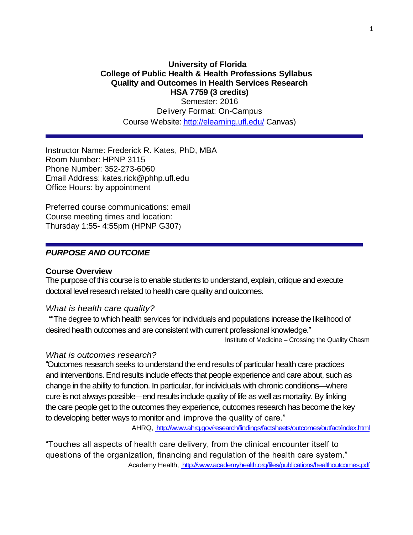### **University of Florida College of Public Health & Health Professions Syllabus Quality and Outcomes in Health Services Research HSA 7759 (3 credits)**

Semester: 2016 Delivery Format: On-Campus Course Website: <http://elearning.ufl.edu/> Canvas)

Instructor Name: Frederick R. Kates, PhD, MBA Room Number: HPNP 3115 Phone Number: 352-273-6060 Email Address: kates.rick@phhp.ufl.edu Office Hours: by appointment

Preferred course communications: email Course meeting times and location: Thursday 1:55- 4:55pm (HPNP G307)

## *PURPOSE AND OUTCOME*

#### **Course Overview**

The purpose of this course is to enable students to understand, explain, critique and execute doctoral level research related to health care quality and outcomes.

#### *What is health care quality?*

*"*"The degree to which health services for individuals and populations increase the likelihood of desired health outcomes and are consistent with current professional knowledge."

Institute of Medicine – Crossing the Quality Chasm

#### *What is outcomes research?*

"Outcomes research seeks to understand the end results of particular health care practices and interventions. End results include effects that people experience and care about, such as change in the ability to function. In particular, for individuals with chronic conditions—where cure is not always possible—end results include quality of life as well as mortality. By linking the care people get to the outcomes they experience, outcomes research has become the key to developing better ways to monitor and improve the quality of care."

AHRQ, <http://www.ahrq.gov/research/findings/factsheets/outcomes/outfact/index.html>

"Touches all aspects of health care delivery, from the clinical encounter itself to questions of the organization, financing and regulation of the health care system." Academy Health, <http://www.academyhealth.org/files/publications/healthoutcomes.pdf>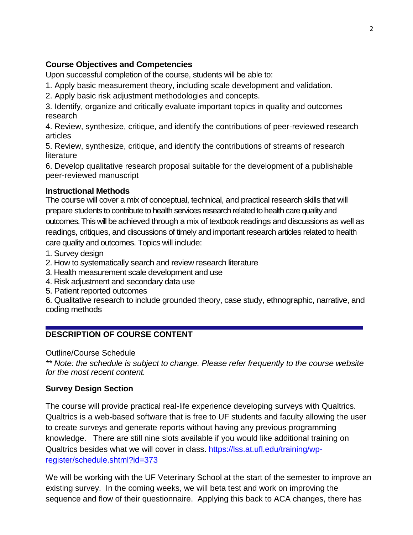# **Course Objectives and Competencies**

Upon successful completion of the course, students will be able to:

1. Apply basic measurement theory, including scale development and validation.

2. Apply basic risk adjustment methodologies and concepts.

3. Identify, organize and critically evaluate important topics in quality and outcomes research

4. Review, synthesize, critique, and identify the contributions of peer-reviewed research articles

5. Review, synthesize, critique, and identify the contributions of streams of research literature

6. Develop qualitative research proposal suitable for the development of a publishable peer-reviewed manuscript

# **Instructional Methods**

The course will cover a mix of conceptual, technical, and practical research skills that will prepare students to contribute to health services research related to health care quality and outcomes. This will be achieved through a mix of textbook readings and discussions as well as readings, critiques, and discussions of timely and important research articles related to health care quality and outcomes. Topics will include:

1. Survey design

- 2. How to systematically search and review research literature
- 3. Health measurement scale development and use
- 4. Risk adjustment and secondary data use
- 5. Patient reported outcomes

6. Qualitative research to include grounded theory, case study, ethnographic, narrative, and coding methods

# **DESCRIPTION OF COURSE CONTENT**

Outline/Course Schedule

*\*\* Note: the schedule is subject to change. Please refer frequently to the course website for the most recent content.*

# **Survey Design Section**

The course will provide practical real-life experience developing surveys with Qualtrics. Qualtrics is a web-based software that is free to UF students and faculty allowing the user to create surveys and generate reports without having any previous programming knowledge. There are still nine slots available if you would like additional training on Qualtrics besides what we will cover in class. [https://lss.at.ufl.edu/training/wp](https://lss.at.ufl.edu/training/wp-register/schedule.shtml?id=373)[register/schedule.shtml?id=373](https://lss.at.ufl.edu/training/wp-register/schedule.shtml?id=373)

We will be working with the UF Veterinary School at the start of the semester to improve an existing survey. In the coming weeks, we will beta test and work on improving the sequence and flow of their questionnaire. Applying this back to ACA changes, there has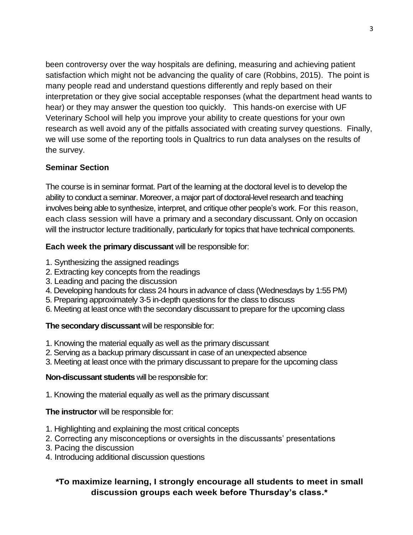been controversy over the way hospitals are defining, measuring and achieving patient satisfaction which might not be advancing the quality of care (Robbins, 2015). The point is many people read and understand questions differently and reply based on their interpretation or they give social acceptable responses (what the department head wants to hear) or they may answer the question too quickly. This hands-on exercise with UF Veterinary School will help you improve your ability to create questions for your own research as well avoid any of the pitfalls associated with creating survey questions. Finally, we will use some of the reporting tools in Qualtrics to run data analyses on the results of the survey.

# **Seminar Section**

The course is in seminar format. Part of the learning at the doctoral level is to develop the ability to conduct a seminar. Moreover, a major part of doctoral-level research and teaching involves being able to synthesize, interpret, and critique other people's work. For this reason, each class session will have a primary and a secondary discussant. Only on occasion will the instructor lecture traditionally, particularly for topics that have technical components.

# **Each week the primary discussant** will be responsible for:

- 1. Synthesizing the assigned readings
- 2. Extracting key concepts from the readings
- 3. Leading and pacing the discussion
- 4. Developing handouts for class 24 hours in advance of class (Wednesdays by 1:55 PM)
- 5. Preparing approximately 3-5 in-depth questions for the class to discuss
- 6. Meeting at least once with the secondary discussant to prepare for the upcoming class

# **The secondary discussant** will be responsible for:

- 1. Knowing the material equally as well as the primary discussant
- 2. Serving as a backup primary discussant in case of an unexpected absence
- 3. Meeting at least once with the primary discussant to prepare for the upcoming class

# **Non-discussant students** will be responsible for:

1. Knowing the material equally as well as the primary discussant

# **The instructor** will be responsible for:

- 1. Highlighting and explaining the most critical concepts
- 2. Correcting any misconceptions or oversights in the discussants' presentations
- 3. Pacing the discussion
- 4. Introducing additional discussion questions

# *\****To maximize learning, I strongly encourage all students to meet in small discussion groups each week before Thursday's class.\***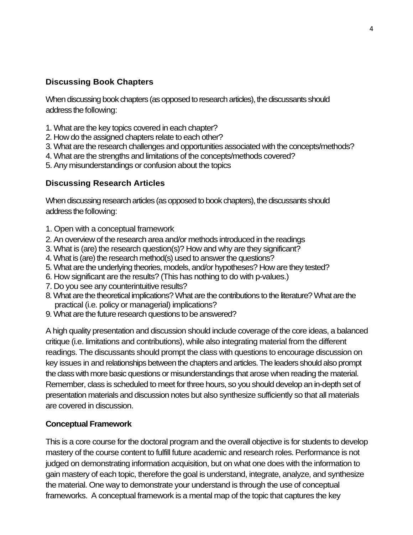# **Discussing Book Chapters**

When discussing book chapters (as opposed to research articles), the discussants should address the following:

- 1. What are the key topics covered in each chapter?
- 2. How do the assigned chapters relate to each other?
- 3. What are the research challenges and opportunities associated with the concepts/methods?
- 4. What are the strengths and limitations of the concepts/methods covered?
- 5. Any misunderstandings or confusion about the topics

## **Discussing Research Articles**

When discussing research articles (as opposed to book chapters), the discussants should address the following:

- 1. Open with a conceptual framework
- 2. An overview of the research area and/or methods introduced in the readings
- 3. What is (are) the research question(s)? How and why are they significant?
- 4. What is (are) the research method(s) used to answer the questions?
- 5. What are the underlying theories, models, and/or hypotheses? How are they tested?
- 6. How significant are the results? (This has nothing to do with p-values.)
- 7. Do you see any counterintuitive results?
- 8. What are the theoretical implications? What are the contributions to the literature? What are the practical (i.e. policy or managerial) implications?
- 9. What are the future research questions to be answered?

A high quality presentation and discussion should include coverage of the core ideas, a balanced critique (i.e. limitations and contributions), while also integrating material from the different readings. The discussants should prompt the class with questions to encourage discussion on key issues in and relationships between the chapters and articles. The leaders should also prompt the class with more basic questions or misunderstandings that arose when reading the material. Remember, class is scheduled to meet for three hours, so you should develop an in-depth set of presentation materials and discussion notes but also synthesize sufficiently so that all materials are covered in discussion.

## **Conceptual Framework**

This is a core course for the doctoral program and the overall objective is for students to develop mastery of the course content to fulfill future academic and research roles. Performance is not judged on demonstrating information acquisition, but on what one does with the information to gain mastery of each topic, therefore the goal is understand, integrate, analyze, and synthesize the material. One way to demonstrate your understand is through the use of conceptual frameworks. A conceptual framework is a mental map of the topic that captures the key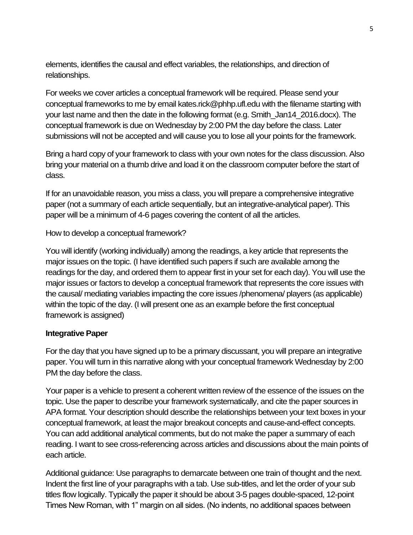elements, identifies the causal and effect variables, the relationships, and direction of relationships.

For weeks we cover articles a conceptual framework will be required. Please send your conceptual frameworks to me by email kates.rick@phhp.ufl.edu with the filename starting with your last name and then the date in the following format (e.g. Smith\_Jan14\_2016.docx). The conceptual framework is due on Wednesday by 2:00 PM the day before the class. Later submissions will not be accepted and will cause you to lose all your points for the framework.

Bring a hard copy of your framework to class with your own notes for the class discussion. Also bring your material on a thumb drive and load it on the classroom computer before the start of class.

If for an unavoidable reason, you miss a class, you will prepare a comprehensive integrative paper (not a summary of each article sequentially, but an integrative-analytical paper). This paper will be a minimum of 4-6 pages covering the content of all the articles.

How to develop a conceptual framework?

You will identify (working individually) among the readings, a key article that represents the major issues on the topic. (I have identified such papers if such are available among the readings for the day, and ordered them to appear first in your set for each day). You will use the major issues or factors to develop a conceptual framework that represents the core issues with the causal/ mediating variables impacting the core issues /phenomena/ players (as applicable) within the topic of the day. (I will present one as an example before the first conceptual framework is assigned)

## **Integrative Paper**

For the day that you have signed up to be a primary discussant, you will prepare an integrative paper. You will turn in this narrative along with your conceptual framework Wednesday by 2:00 PM the day before the class.

Your paper is a vehicle to present a coherent written review of the essence of the issues on the topic. Use the paper to describe your framework systematically, and cite the paper sources in APA format. Your description should describe the relationships between your text boxes in your conceptual framework, at least the major breakout concepts and cause-and-effect concepts. You can add additional analytical comments, but do not make the paper a summary of each reading. I want to see cross-referencing across articles and discussions about the main points of each article.

Additional guidance: Use paragraphs to demarcate between one train of thought and the next. Indent the first line of your paragraphs with a tab. Use sub-titles, and let the order of your sub titles flow logically. Typically the paper it should be about 3-5 pages double-spaced, 12-point Times New Roman, with 1" margin on all sides. (No indents, no additional spaces between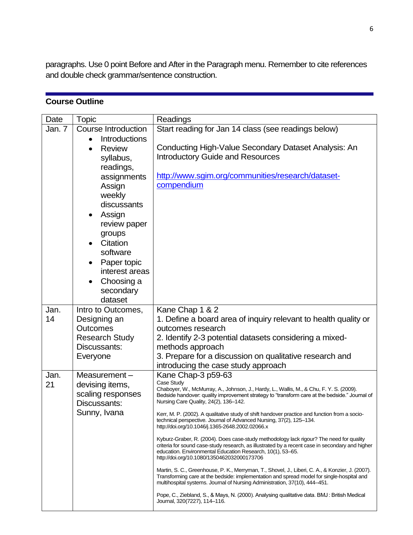paragraphs. Use 0 point Before and After in the Paragraph menu. Remember to cite references and double check grammar/sentence construction.

# **Course Outline**

| Date       | <b>Topic</b>                      | Readings                                                                                                                                                             |  |  |  |  |  |  |  |
|------------|-----------------------------------|----------------------------------------------------------------------------------------------------------------------------------------------------------------------|--|--|--|--|--|--|--|
| Jan. 7     | <b>Course Introduction</b>        | Start reading for Jan 14 class (see readings below)                                                                                                                  |  |  |  |  |  |  |  |
|            | Introductions                     |                                                                                                                                                                      |  |  |  |  |  |  |  |
|            | <b>Review</b>                     | Conducting High-Value Secondary Dataset Analysis: An                                                                                                                 |  |  |  |  |  |  |  |
|            | syllabus,                         | <b>Introductory Guide and Resources</b>                                                                                                                              |  |  |  |  |  |  |  |
|            | readings,                         |                                                                                                                                                                      |  |  |  |  |  |  |  |
|            | assignments                       | http://www.sgim.org/communities/research/dataset-                                                                                                                    |  |  |  |  |  |  |  |
|            | Assign                            | compendium                                                                                                                                                           |  |  |  |  |  |  |  |
|            | weekly                            |                                                                                                                                                                      |  |  |  |  |  |  |  |
|            | discussants                       |                                                                                                                                                                      |  |  |  |  |  |  |  |
|            | Assign                            |                                                                                                                                                                      |  |  |  |  |  |  |  |
|            | review paper                      |                                                                                                                                                                      |  |  |  |  |  |  |  |
|            | groups                            |                                                                                                                                                                      |  |  |  |  |  |  |  |
|            | Citation                          |                                                                                                                                                                      |  |  |  |  |  |  |  |
|            | software                          |                                                                                                                                                                      |  |  |  |  |  |  |  |
|            | Paper topic                       |                                                                                                                                                                      |  |  |  |  |  |  |  |
|            | interest areas                    |                                                                                                                                                                      |  |  |  |  |  |  |  |
|            | Choosing a                        |                                                                                                                                                                      |  |  |  |  |  |  |  |
|            | secondary                         |                                                                                                                                                                      |  |  |  |  |  |  |  |
|            | dataset                           |                                                                                                                                                                      |  |  |  |  |  |  |  |
| Jan.       | Intro to Outcomes,                | Kane Chap 1 & 2                                                                                                                                                      |  |  |  |  |  |  |  |
| 14         | Designing an                      | 1. Define a board area of inquiry relevant to health quality or                                                                                                      |  |  |  |  |  |  |  |
|            | <b>Outcomes</b>                   | outcomes research                                                                                                                                                    |  |  |  |  |  |  |  |
|            | <b>Research Study</b>             | 2. Identify 2-3 potential datasets considering a mixed-                                                                                                              |  |  |  |  |  |  |  |
|            | Discussants:                      | methods approach                                                                                                                                                     |  |  |  |  |  |  |  |
|            | Everyone                          | 3. Prepare for a discussion on qualitative research and                                                                                                              |  |  |  |  |  |  |  |
|            |                                   | introducing the case study approach                                                                                                                                  |  |  |  |  |  |  |  |
| Jan.<br>21 | Measurement-                      | Kane Chap-3 p59-63<br>Case Study                                                                                                                                     |  |  |  |  |  |  |  |
|            | devising items,                   | Chaboyer, W., McMurray, A., Johnson, J., Hardy, L., Wallis, M., & Chu, F. Y. S. (2009).                                                                              |  |  |  |  |  |  |  |
|            | scaling responses<br>Discussants: | Bedside handover: quality improvement strategy to "transform care at the bedside." Journal of<br>Nursing Care Quality, 24(2), 136-142.                               |  |  |  |  |  |  |  |
|            |                                   |                                                                                                                                                                      |  |  |  |  |  |  |  |
|            | Sunny, Ivana                      | Kerr, M. P. (2002). A qualitative study of shift handover practice and function from a socio-<br>technical perspective. Journal of Advanced Nursing, 37(2), 125-134. |  |  |  |  |  |  |  |
|            |                                   | http://doi.org/10.1046/j.1365-2648.2002.02066.x                                                                                                                      |  |  |  |  |  |  |  |
|            |                                   | Kyburz-Graber, R. (2004). Does case-study methodology lack rigour? The need for quality                                                                              |  |  |  |  |  |  |  |
|            |                                   | criteria for sound case-study research, as illustrated by a recent case in secondary and higher<br>education. Environmental Education Research, 10(1), 53–65.        |  |  |  |  |  |  |  |
|            |                                   | http://doi.org/10.1080/1350462032000173706                                                                                                                           |  |  |  |  |  |  |  |
|            |                                   | Martin, S. C., Greenhouse, P. K., Merryman, T., Shovel, J., Liberi, C. A., & Konzier, J. (2007).                                                                     |  |  |  |  |  |  |  |
|            |                                   | Transforming care at the bedside: implementation and spread model for single-hospital and                                                                            |  |  |  |  |  |  |  |
|            |                                   | multihospital systems. Journal of Nursing Administration, 37(10), 444-451.                                                                                           |  |  |  |  |  |  |  |
|            |                                   | Pope, C., Ziebland, S., & Mays, N. (2000). Analysing qualitative data. BMJ: British Medical<br>Journal, 320(7227), 114-116.                                          |  |  |  |  |  |  |  |
|            |                                   |                                                                                                                                                                      |  |  |  |  |  |  |  |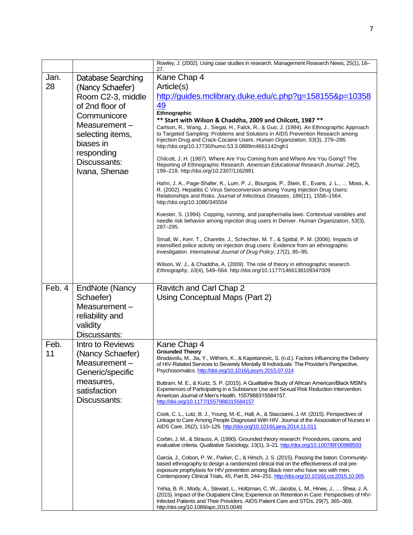|            |                                                                                                                                                                                                  | Rowley, J. (2002). Using case studies in research. Management Research News, 25(1), 16-<br>27.                                                                                                                                                                                                                                                                                                                                                                                                                                                                                                                                                                                                                                                                                                                                                                                                                                                                                                                                                                                                                                                                                                                                                                                                                                                                                                                                                                                                                                                                                                                                                                                                                                                                            |
|------------|--------------------------------------------------------------------------------------------------------------------------------------------------------------------------------------------------|---------------------------------------------------------------------------------------------------------------------------------------------------------------------------------------------------------------------------------------------------------------------------------------------------------------------------------------------------------------------------------------------------------------------------------------------------------------------------------------------------------------------------------------------------------------------------------------------------------------------------------------------------------------------------------------------------------------------------------------------------------------------------------------------------------------------------------------------------------------------------------------------------------------------------------------------------------------------------------------------------------------------------------------------------------------------------------------------------------------------------------------------------------------------------------------------------------------------------------------------------------------------------------------------------------------------------------------------------------------------------------------------------------------------------------------------------------------------------------------------------------------------------------------------------------------------------------------------------------------------------------------------------------------------------------------------------------------------------------------------------------------------------|
| Jan.<br>28 | Database Searching<br>(Nancy Schaefer)<br>Room C2-3, middle<br>of 2nd floor of<br>Communicore<br>Measurement $-$<br>selecting items,<br>biases in<br>responding<br>Discussants:<br>Ivana, Shenae | Kane Chap 4<br>Article(s)<br>http://guides.mclibrary.duke.edu/c.php?g=158155&p=10358<br>49<br>Ethnographic<br>** Start with Wilson & Chaddha, 2009 and Chilcott, 1987 **<br>Carlson, R., Wang, J., Siegal, H., Falck, R., & Guo, J. (1994). An Ethnographic Approach<br>to Targeted Sampling: Problems and Solutions in AIDS Prevention Research among<br>Injection Drug and Crack-Cocaine Users. Human Organization, 53(3), 279-286.<br>http://doi.org/10.17730/humo.53.3.0889m4661142ngh1<br>Chilcott, J. H. (1987). Where Are You Coming from and Where Are You Going? The<br>Reporting of Ethnographic Research. American Educational Research Journal, 24(2),<br>199-218. http://doi.org/10.2307/1162891<br>Hahn, J. A., Page-Shafer, K., Lum, P. J., Bourgois, P., Stein, E., Evans, J. L.,  Moss, A.<br>R. (2002). Hepatitis C Virus Seroconversion among Young Injection Drug Users:<br>Relationships and Risks. Journal of Infectious Diseases, 186(11), 1558-1564.<br>http://doi.org/10.1086/345554<br>Koester, S. (1994). Copping, running, and paraphernalia laws: Contextual variables and<br>needle risk behavior among injection drug users in Denver. Human Organization, 53(3),<br>287-295.<br>Small, W., Kerr, T., Charette, J., Schechter, M. T., & Spittal, P. M. (2006). Impacts of<br>intensified police activity on injection drug users: Evidence from an ethnographic<br>investigation. International Journal of Drug Policy, 17(2), 85-95.<br>Wilson, W. J., & Chaddha, A. (2009). The role of theory in ethnographic research.<br>Ethnography, 10(4), 549-564. http://doi.org/10.1177/1466138109347009                                                                                                                                         |
| Feb. 4     | <b>EndNote (Nancy</b><br>Schaefer)<br>Measurement-<br>reliability and<br>validity<br>Discussants:                                                                                                | Ravitch and Carl Chap 2<br>Using Conceptual Maps (Part 2)                                                                                                                                                                                                                                                                                                                                                                                                                                                                                                                                                                                                                                                                                                                                                                                                                                                                                                                                                                                                                                                                                                                                                                                                                                                                                                                                                                                                                                                                                                                                                                                                                                                                                                                 |
| Feb.<br>11 | Intro to Reviews<br>(Nancy Schaefer)<br>Measurement-<br>Generic/specific<br>measures,<br>satisfaction<br>Discussants:                                                                            | Kane Chap 4<br><b>Grounded Theory</b><br>Biradavolu, M., Jia, Y., Withers, K., & Kapetanovic, S. (n.d.). Factors Influencing the Delivery<br>of HIV-Related Services to Severely Mentally III Individuals: The Provider's Perspective.<br>Psychosomatics. http://doi.org/10.1016/j.psym.2015.07.014<br>Buttram, M. E., & Kurtz, S. P. (2015). A Qualitative Study of African American/Black MSM's<br>Experiences of Participating in a Substance Use and Sexual Risk Reduction Intervention.<br>American Journal of Men's Health, 1557988315584157.<br>http://doi.org/10.1177/1557988315584157<br>Cook, C. L., Lutz, B. J., Young, M.-E., Hall, A., & Stacciarini, J.-M. (2015). Perspectives of<br>Linkage to Care Among People Diagnosed With HIV. Journal of the Association of Nurses in<br>AIDS Care, 26(2), 110-126. http://doi.org/10.1016/j.jana.2014.11.011<br>Corbin, J. M., & Strauss, A. (1990). Grounded theory research: Procedures, canons, and<br>evaluative criteria. Qualitative Sociology, 13(1), 3-21. http://doi.org/10.1007/BF00988593<br>Garcia, J., Colson, P. W., Parker, C., & Hirsch, J. S. (2015). Passing the baton: Community-<br>based ethnography to design a randomized clinical trial on the effectiveness of oral pre-<br>exposure prophylaxis for HIV prevention among Black men who have sex with men.<br>Contemporary Clinical Trials, 45, Part B, 244–251. http://doi.org/10.1016/j.cct.2015.10.005<br>Yehia, B. R., Mody, A., Stewart, L., Holtzman, C. W., Jacobs, L. M., Hines, J.,  Shea, J. A.<br>(2015). Impact of the Outpatient Clinic Experience on Retention in Care: Perspectives of HIV-<br>Infected Patients and Their Providers. AIDS Patient Care and STDs, 29(7), 365-369.<br>http://doi.org/10.1089/apc.2015.0049 |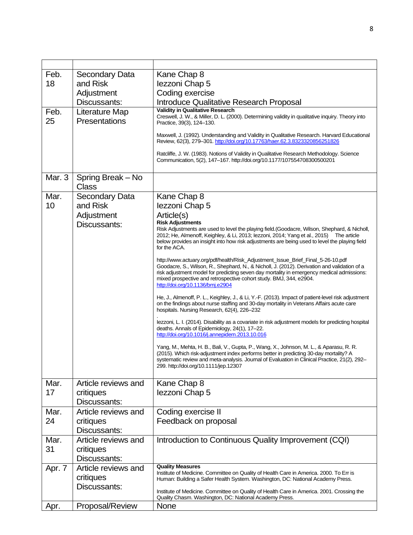| Feb.   | <b>Secondary Data</b>             | Kane Chap 8                                                                                                                                                                                         |
|--------|-----------------------------------|-----------------------------------------------------------------------------------------------------------------------------------------------------------------------------------------------------|
| 18     | and Risk                          | lezzoni Chap 5                                                                                                                                                                                      |
|        | Adjustment                        | Coding exercise                                                                                                                                                                                     |
|        | Discussants:                      | <b>Introduce Qualitative Research Proposal</b>                                                                                                                                                      |
| Feb.   | Literature Map                    | <b>Validity in Qualitative Research</b>                                                                                                                                                             |
| 25     | Presentations                     | Creswell, J. W., & Miller, D. L. (2000). Determining validity in qualitative inquiry. Theory into<br>Practice, 39(3), 124-130.                                                                      |
|        |                                   | Maxwell, J. (1992). Understanding and Validity in Qualitative Research. Harvard Educational<br>Review, 62(3), 279-301. http://doi.org/10.17763/haer.62.3.8323320856251826                           |
|        |                                   | Ratcliffe, J. W. (1983). Notions of Validity in Qualitative Research Methodology. Science<br>Communication, 5(2), 147-167. http://doi.org/10.1177/107554708300500201                                |
| Mar. 3 |                                   |                                                                                                                                                                                                     |
|        | Spring Break - No<br><b>Class</b> |                                                                                                                                                                                                     |
| Mar.   | <b>Secondary Data</b>             | Kane Chap 8                                                                                                                                                                                         |
| 10     | and Risk                          | lezzoni Chap 5                                                                                                                                                                                      |
|        | Adjustment                        | Article(s)                                                                                                                                                                                          |
|        | Discussants:                      | <b>Risk Adjustments</b><br>Risk Adjustments are used to level the playing field. (Goodacre, Wilson, Shephard, & Nicholl,                                                                            |
|        |                                   | 2012; He, Almenoff, Keighley, & Li, 2013; lezzoni, 2014; Yang et al., 2015) The article                                                                                                             |
|        |                                   | below provides an insight into how risk adjustments are being used to level the playing field<br>for the ACA.                                                                                       |
|        |                                   | http://www.actuary.org/pdf/health/Risk_Adjustment_Issue_Brief_Final_5-26-10.pdf                                                                                                                     |
|        |                                   | Goodacre, S., Wilson, R., Shephard, N., & Nicholl, J. (2012). Derivation and validation of a                                                                                                        |
|        |                                   | risk adjustment model for predicting seven day mortality in emergency medical admissions:<br>mixed prospective and retrospective cohort study. BMJ, 344, e2904.<br>http://doi.org/10.1136/bmj.e2904 |
|        |                                   | He, J., Almenoff, P. L., Keighley, J., & Li, Y.-F. (2013). Impact of patient-level risk adjustment                                                                                                  |
|        |                                   | on the findings about nurse staffing and 30-day mortality in Veterans Affairs acute care<br>hospitals. Nursing Research, 62(4), 226-232                                                             |
|        |                                   | lezzoni, L. I. (2014). Disability as a covariate in risk adjustment models for predicting hospital<br>deaths. Annals of Epidemiology, 24(1), 17-22.                                                 |
|        |                                   | http://doi.org/10.1016/j.annepidem.2013.10.016                                                                                                                                                      |
|        |                                   | Yang, M., Mehta, H. B., Bali, V., Gupta, P., Wang, X., Johnson, M. L., & Aparasu, R. R.<br>(2015). Which risk-adjustment index performs better in predicting 30-day mortality? A                    |
|        |                                   | systematic review and meta-analysis. Journal of Evaluation in Clinical Practice, 21(2), 292-<br>299. http://doi.org/10.1111/jep.12307                                                               |
|        |                                   |                                                                                                                                                                                                     |
| Mar.   | Article reviews and               | Kane Chap 8                                                                                                                                                                                         |
| 17     | critiques                         | lezzoni Chap 5                                                                                                                                                                                      |
|        | Discussants:                      |                                                                                                                                                                                                     |
| Mar.   | Article reviews and               | Coding exercise II                                                                                                                                                                                  |
| 24     | critiques                         | Feedback on proposal                                                                                                                                                                                |
|        | Discussants:                      |                                                                                                                                                                                                     |
| Mar.   | Article reviews and               | Introduction to Continuous Quality Improvement (CQI)                                                                                                                                                |
| 31     | critiques                         |                                                                                                                                                                                                     |
|        | Discussants:                      |                                                                                                                                                                                                     |
| Apr. 7 | Article reviews and               | <b>Quality Measures</b>                                                                                                                                                                             |
|        | critiques                         | Institute of Medicine. Committee on Quality of Health Care in America. 2000. To Err is<br>Human: Building a Safer Health System. Washington, DC: National Academy Press.                            |
|        | Discussants:                      |                                                                                                                                                                                                     |
|        |                                   | Institute of Medicine. Committee on Quality of Health Care in America. 2001. Crossing the<br>Quality Chasm. Washington, DC: National Academy Press.                                                 |
| Apr.   | Proposal/Review                   | None                                                                                                                                                                                                |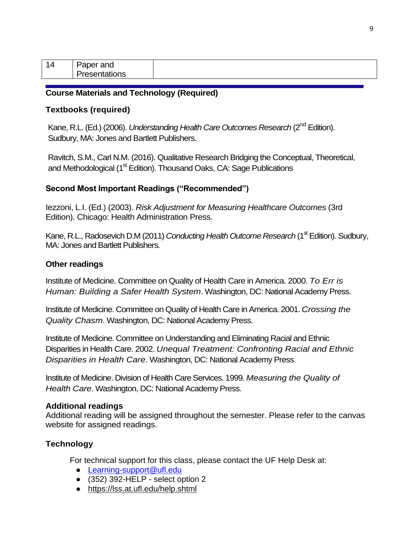| - 71<br>- | <u>or</u> and<br>ar |  |
|-----------|---------------------|--|
|           | ons<br>'''          |  |

### **Course Materials and Technology (Required)**

### **Textbooks (required)**

Kane, R.L. (Ed.) (2006). *Understanding Health Care Outcomes Research* (2<sup>nd</sup> Edition). Sudbury, MA: Jones and Bartlett Publishers.

Ravitch, S.M., Carl N.M. (2016). Qualitative Research Bridging the Conceptual, Theoretical, and Methodological (1<sup>st</sup> Edition). Thousand Oaks, CA: Sage Publications

### **Second Most Important Readings ("Recommended")**

Iezzoni, L.I. (Ed.) (2003). *Risk Adjustment for Measuring Healthcare Outcomes* (3rd Edition). Chicago: Health Administration Press.

Kane, R.L., Radosevich D.M (2011) *Conducting Health Outcome Research* (1<sup>st</sup> Edition). Sudbury, MA: Jones and Bartlett Publishers.

### **Other readings**

Institute of Medicine. Committee on Quality of Health Care in America. 2000. *To Err is Human: Building a Safer Health System*. Washington, DC: National Academy Press.

Institute of Medicine. Committee on Quality of Health Care in America. 2001. *Crossing the Quality Chasm*. Washington, DC: National Academy Press.

Institute of Medicine. Committee on Understanding and Eliminating Racial and Ethnic Disparities in Health Care. 2002. *Unequal Treatment: Confronting Racial and Ethnic Disparities in Health Care*. Washington, DC: National Academy Press.

Institute of Medicine. Division of Health Care Services. 1999. *Measuring the Quality of Health Care*. Washington, DC: National Academy Press.

#### **Additional readings**

Additional reading will be assigned throughout the semester. Please refer to the canvas website for assigned readings.

## **Technology**

For technical support for this class, please contact the UF Help Desk at:

- [Learning-support@ufl.edu](mailto:Learning-support@ufl.edu)
- $\bullet$  (352) 392-HELP select option 2
- <https://lss.at.ufl.edu/help.shtml>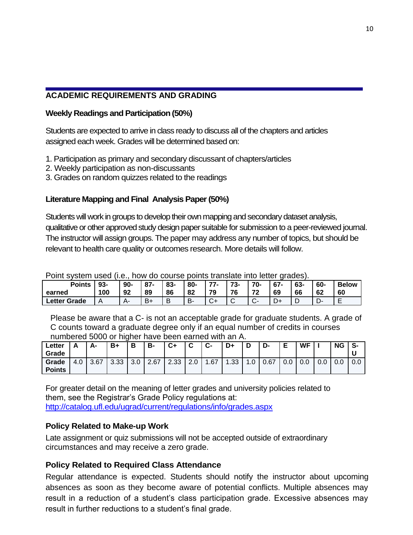# **ACADEMIC REQUIREMENTS AND GRADING**

### **Weekly Readings and Participation (50%)**

Students are expected to arrive in class ready to discuss all of the chapters and articles assigned each week. Grades will be determined based on:

- 1. Participation as primary and secondary discussant of chapters/articles
- 2. Weekly participation as non-discussants
- 3. Grades on random quizzes related to the readings

## **Literature Mapping and Final Analysis Paper (50%)**

Students will work in groups to develop their own mapping and secondary dataset analysis, qualitative or other approved study design paper suitable for submission to a peer-reviewed journal. The instructor will assign groups. The paper may address any number of topics, but should be relevant to health care quality or outcomes research. More details will follow.

| ו טוות סעטנטוו טטטט וווט. ווטער טט טטטוטט אטוווט וומווטומנט ווווט וטנגטו קומטנטן.                    |     |    |      |    |           |    |        |    |    |              |    |    |  |
|------------------------------------------------------------------------------------------------------|-----|----|------|----|-----------|----|--------|----|----|--------------|----|----|--|
| 70-<br>$'77-$<br>73-<br>-60<br>$93-$<br>$87-$<br>83-<br>67-<br>$90 -$<br>80-<br>63-<br><b>Points</b> |     |    |      |    |           |    |        |    |    | <b>Below</b> |    |    |  |
| earned                                                                                               | 100 | 92 | 89   | 86 | 82        | 79 | 76     | 72 | 69 | 66           | 62 | 60 |  |
| <b>Letter Grade</b>                                                                                  |     | д. | $B+$ | B  | <b>B-</b> |    | $\sim$ |    |    |              |    |    |  |

Point system used (i.e., how do course points translate into letter grades).

Please be aware that a C- is not an acceptable grade for graduate students. A grade of C counts toward a graduate degree only if an equal number of credits in courses numbered 5000 or higher have been earned with an A.

| ∟etter<br>Grade        |     | А-   | B+          | Ð<br>o | B-        | C+   | $\overline{ }$<br>ັ | ◠<br>v- | D+   | n<br>ц       | D-   | Е   | <b>WF</b> |     | <b>NG</b> | S-  |
|------------------------|-----|------|-------------|--------|-----------|------|---------------------|---------|------|--------------|------|-----|-----------|-----|-----------|-----|
| Grade<br><b>Points</b> | 4.0 | 3.67 | こ ご<br>ບ.ບບ | 3.0    | 2.67<br>⌒ | 2.33 | $\Omega$<br>z.u     | .67     | 1.33 | $\sim$<br>.u | 0.67 | 0.0 | 0.0       | 0.0 | 0.0       | 0.0 |

For greater detail on the meaning of letter grades and university policies related to them, see the Registrar's Grade Policy regulations at: <http://catalog.ufl.edu/ugrad/current/regulations/info/grades.aspx>

## **Policy Related to Make-up Work**

Late assignment or quiz submissions will not be accepted outside of extraordinary circumstances and may receive a zero grade.

# **Policy Related to Required Class Attendance**

Regular attendance is expected. Students should notify the instructor about upcoming absences as soon as they become aware of potential conflicts. Multiple absences may result in a reduction of a student's class participation grade. Excessive absences may result in further reductions to a student's final grade.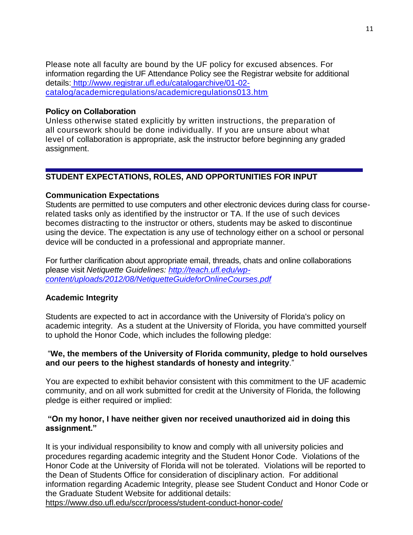Please note all faculty are bound by the UF policy for excused absences. For information regarding the UF Attendance Policy see the Registrar website for additional details: [http://www.registrar.ufl.edu/catalogarchive/01-02](http://www.registrar.ufl.edu/catalogarchive/01-02-)  catalog/academicregulations/academicregulations013.htm

### **Policy on Collaboration**

Unless otherwise stated explicitly by written instructions, the preparation of all coursework should be done individually. If you are unsure about what level of collaboration is appropriate, ask the instructor before beginning any graded assignment.

## **STUDENT EXPECTATIONS, ROLES, AND OPPORTUNITIES FOR INPUT**

## **Communication Expectations**

Students are permitted to use computers and other electronic devices during class for courserelated tasks only as identified by the instructor or TA. If the use of such devices becomes distracting to the instructor or others, students may be asked to discontinue using the device. The expectation is any use of technology either on a school or personal device will be conducted in a professional and appropriate manner.

For further clarification about appropriate email, threads, chats and online collaborations please visit *Netiquette Guidelines: [http://teach.ufl.edu/wp](http://teach.ufl.edu/wp-content/uploads/2012/08/NetiquetteGuideforOnlineCourses.pdf)[content/uploads/2012/08/NetiquetteGuideforOnlineCourses.pdf](http://teach.ufl.edu/wp-content/uploads/2012/08/NetiquetteGuideforOnlineCourses.pdf)*

## **Academic Integrity**

Students are expected to act in accordance with the University of Florida's policy on academic integrity. As a student at the University of Florida, you have committed yourself to uphold the Honor Code, which includes the following pledge:

## "**We, the members of the University of Florida community, pledge to hold ourselves and our peers to the highest standards of honesty and integrity**."

You are expected to exhibit behavior consistent with this commitment to the UF academic community, and on all work submitted for credit at the University of Florida, the following pledge is either required or implied:

## **"On my honor, I have neither given nor received unauthorized aid in doing this assignment."**

It is your individual responsibility to know and comply with all university policies and procedures regarding academic integrity and the Student Honor Code. Violations of the Honor Code at the University of Florida will not be tolerated. Violations will be reported to the Dean of Students Office for consideration of disciplinary action. For additional information regarding Academic Integrity, please see Student Conduct and Honor Code or the Graduate Student Website for additional details:

<https://www.dso.ufl.edu/sccr/process/student-conduct-honor-code/>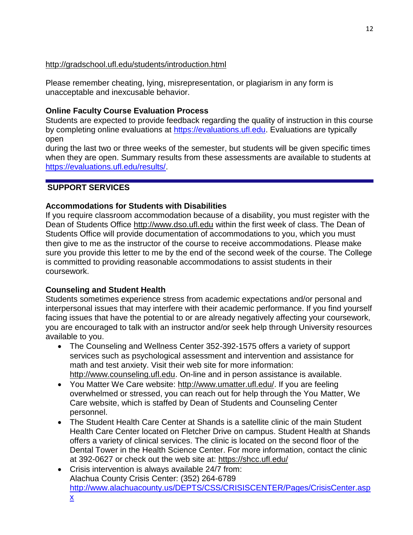# <http://gradschool.ufl.edu/students/introduction.html>

Please remember cheating, lying, misrepresentation, or plagiarism in any form is unacceptable and inexcusable behavior.

# **Online Faculty Course Evaluation Process**

Students are expected to provide feedback regarding the quality of instruction in this course by completing online evaluations at [https://evaluations.ufl.edu.](https://evaluations.ufl.edu/) Evaluations are typically open

during the last two or three weeks of the semester, but students will be given specific times when they are open. Summary results from these assessments are available to students at [https://evaluations.ufl.edu/results/.](https://evaluations.ufl.edu/results/)

# **SUPPORT SERVICES**

# **Accommodations for Students with Disabilities**

If you require classroom accommodation because of a disability, you must register with the Dean of Students Office [http://www.dso.ufl.edu](http://www.dso.ufl.edu/) within the first week of class. The Dean of Students Office will provide documentation of accommodations to you, which you must then give to me as the instructor of the course to receive accommodations. Please make sure you provide this letter to me by the end of the second week of the course. The College is committed to providing reasonable accommodations to assist students in their coursework.

# **Counseling and Student Health**

Students sometimes experience stress from academic expectations and/or personal and interpersonal issues that may interfere with their academic performance. If you find yourself facing issues that have the potential to or are already negatively affecting your coursework, you are encouraged to talk with an instructor and/or seek help through University resources available to you.

- The Counseling and Wellness Center 352-392-1575 offers a variety of support services such as psychological assessment and intervention and assistance for math and test anxiety. Visit their web site for more information: [http://www.counseling.ufl.edu.](http://www.counseling.ufl.edu/) On-line and in person assistance is available.
- You Matter We Care website: [http://www.umatter.ufl.edu/.](http://www.umatter.ufl.edu/) If you are feeling overwhelmed or stressed, you can reach out for help through the You Matter, We Care website, which is staffed by Dean of Students and Counseling Center personnel.
- The Student Health Care Center at Shands is a satellite clinic of the main Student Health Care Center located on Fletcher Drive on campus. Student Health at Shands offers a variety of clinical services. The clinic is located on the second floor of the Dental Tower in the Health Science Center. For more information, contact the clinic at 392-0627 or check out the web site at: <https://shcc.ufl.edu/>
- Crisis intervention is always available 24/7 from: Alachua County Crisis Center: (352) 264-6789 [http://www.alachuacounty.us/DEPTS/CSS/CRISISCENTER/Pages/CrisisCenter.asp](http://www.alachuacounty.us/DEPTS/CSS/CRISISCENTER/Pages/CrisisCenter.aspx) [x](http://www.alachuacounty.us/DEPTS/CSS/CRISISCENTER/Pages/CrisisCenter.aspx)